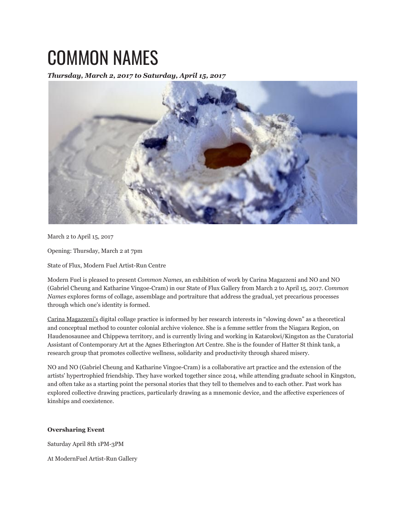## COMMON NAMES

*Thursday, March 2, 2017 to Saturday, April 15, 2017*



March 2 to April 15, 2017

Opening: Thursday, March 2 at 7pm

State of Flux, Modern Fuel Artist-Run Centre

Modern Fuel is pleased to present *Common Names*, an exhibition of work by Carina Magazzeni and NO and NO (Gabriel Cheung and Katharine Vingoe-Cram) in our State of Flux Gallery from March 2 to April 15, 2017. *Common Names* explores forms of collage, assemblage and portraiture that address the gradual, yet precarious processes through which one's identity is formed.

Carina Magazzeni's digital collage practice is informed by her research interests in "slowing down" as a theoretical and conceptual method to counter colonial archive violence. She is a femme settler from the Niagara Region, on Haudenosaunee and Chippewa territory, and is currently living and working in Katarokwi/Kingston as the Curatorial Assistant of Contemporary Art at the Agnes Etherington Art Centre. She is the founder of Hatter St think tank, a research group that promotes collective wellness, solidarity and productivity through shared misery.

NO and NO (Gabriel Cheung and Katharine Vingoe-Cram) is a collaborative art practice and the extension of the artists' hypertrophied friendship. They have worked together since 2014, while attending graduate school in Kingston, and often take as a starting point the personal stories that they tell to themelves and to each other. Past work has explored collective drawing practices, particularly drawing as a mnemonic device, and the affective experiences of kinships and coexistence.

## **Oversharing Event**

Saturday April 8th 1PM-3PM

At ModernFuel Artist-Run Gallery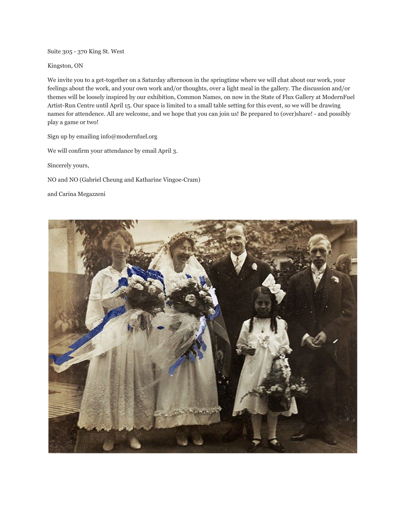Suite 305 - 370 King St. West

Kingston, ON

We invite you to a get-together on a Saturday afternoon in the springtime where we will chat about our work, your feelings about the work, and your own work and/or thoughts, over a light meal in the gallery. The discussion and/or themes will be loosely inspired by our exhibition, Common Names, on now in the State of Flux Gallery at ModernFuel Artist-Run Centre until April 15. Our space is limited to a small table setting for this event, so we will be drawing names for attendence. All are welcome, and we hope that you can join us! Be prepared to (over)share! - and possibly play a game or two!

Sign up by emailing info@modernfuel.org

We will confirm your attendance by email April 3.

Sincerely yours,

NO and NO (Gabriel Cheung and Katharine Vingoe-Cram)

and Carina Megazzeni